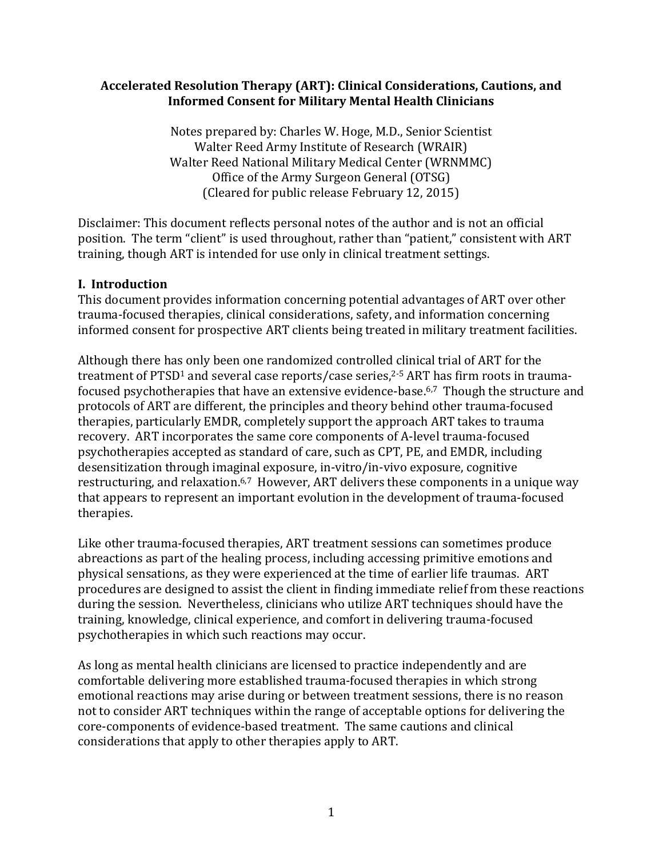## **Accelerated Resolution Therapy (ART): Clinical Considerations, Cautions, and Informed Consent for Military Mental Health Clinicians**

Notes prepared by: Charles W. Hoge, M.D., Senior Scientist Walter Reed Army Institute of Research (WRAIR) Walter Reed National Military Medical Center (WRNMMC) Office of the Army Surgeon General (OTSG) (Cleared for public release February 12, 2015)

Disclaimer: This document reflects personal notes of the author and is not an official position. The term "client" is used throughout, rather than "patient," consistent with ART training, though ART is intended for use only in clinical treatment settings.

# **I. Introduction**

This document provides information concerning potential advantages of ART over other trauma-focused therapies, clinical considerations, safety, and information concerning informed consent for prospective ART clients being treated in military treatment facilities.

Although there has only been one randomized controlled clinical trial of ART for the treatment of PTSD1 and several case reports/case series,<sup>2-5</sup> ART has firm roots in traumafocused psychotherapies that have an extensive evidence-base. 6,7 Though the structure and protocols of ART are different, the principles and theory behind other trauma-focused therapies, particularly EMDR, completely support the approach ART takes to trauma recovery. ART incorporates the same core components of A-level trauma-focused psychotherapies accepted as standard of care, such as CPT, PE, and EMDR, including desensitization through imaginal exposure, in-vitro/in-vivo exposure, cognitive restructuring, and relaxation.<sup>6,7</sup> However, ART delivers these components in a unique way that appears to represent an important evolution in the development of trauma-focused therapies.

Like other trauma-focused therapies, ART treatment sessions can sometimes produce abreactions as part of the healing process, including accessing primitive emotions and physical sensations, as they were experienced at the time of earlier life traumas. ART procedures are designed to assist the client in finding immediate relief from these reactions during the session. Nevertheless, clinicians who utilize ART techniques should have the training, knowledge, clinical experience, and comfort in delivering trauma-focused psychotherapies in which such reactions may occur.

As long as mental health clinicians are licensed to practice independently and are comfortable delivering more established trauma-focused therapies in which strong emotional reactions may arise during or between treatment sessions, there is no reason not to consider ART techniques within the range of acceptable options for delivering the core-components of evidence-based treatment. The same cautions and clinical considerations that apply to other therapies apply to ART.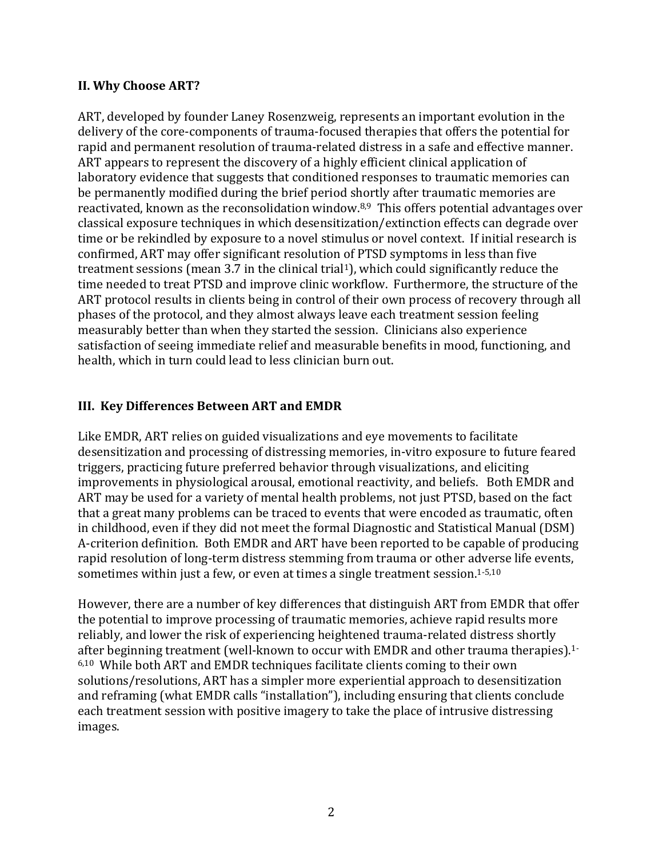### **II. Why Choose ART?**

ART, developed by founder Laney Rosenzweig, represents an important evolution in the delivery of the core-components of trauma-focused therapies that offers the potential for rapid and permanent resolution of trauma-related distress in a safe and effective manner. ART appears to represent the discovery of a highly efficient clinical application of laboratory evidence that suggests that conditioned responses to traumatic memories can be permanently modified during the brief period shortly after traumatic memories are reactivated, known as the reconsolidation window.<sup>8,9</sup> This offers potential advantages over classical exposure techniques in which desensitization/extinction effects can degrade over time or be rekindled by exposure to a novel stimulus or novel context. If initial research is confirmed, ART may offer significant resolution of PTSD symptoms in less than five treatment sessions (mean 3.7 in the clinical trial<sup>1</sup>), which could significantly reduce the time needed to treat PTSD and improve clinic workflow. Furthermore, the structure of the ART protocol results in clients being in control of their own process of recovery through all phases of the protocol, and they almost always leave each treatment session feeling measurably better than when they started the session. Clinicians also experience satisfaction of seeing immediate relief and measurable benefits in mood, functioning, and health, which in turn could lead to less clinician burn out.

## **III. Key Differences Between ART and EMDR**

Like EMDR, ART relies on guided visualizations and eye movements to facilitate desensitization and processing of distressing memories, in-vitro exposure to future feared triggers, practicing future preferred behavior through visualizations, and eliciting improvements in physiological arousal, emotional reactivity, and beliefs. Both EMDR and ART may be used for a variety of mental health problems, not just PTSD, based on the fact that a great many problems can be traced to events that were encoded as traumatic, often in childhood, even if they did not meet the formal Diagnostic and Statistical Manual (DSM) A-criterion definition. Both EMDR and ART have been reported to be capable of producing rapid resolution of long-term distress stemming from trauma or other adverse life events, sometimes within just a few, or even at times a single treatment session.1-5,10

However, there are a number of key differences that distinguish ART from EMDR that offer the potential to improve processing of traumatic memories, achieve rapid results more reliably, and lower the risk of experiencing heightened trauma-related distress shortly after beginning treatment (well-known to occur with EMDR and other trauma therapies).1- 6,10 While both ART and EMDR techniques facilitate clients coming to their own solutions/resolutions, ART has a simpler more experiential approach to desensitization and reframing (what EMDR calls "installation"), including ensuring that clients conclude each treatment session with positive imagery to take the place of intrusive distressing images.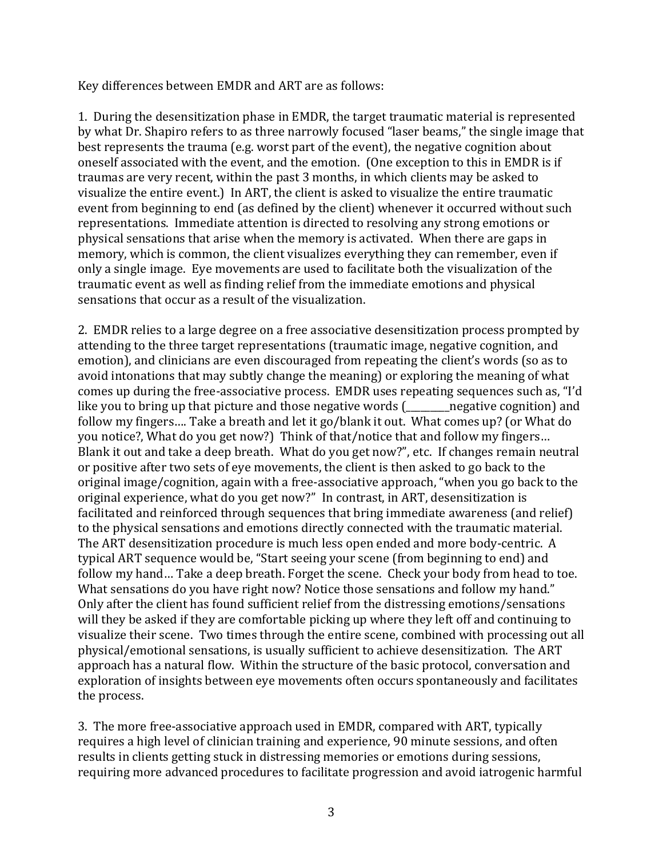Key differences between EMDR and ART are as follows:

1. During the desensitization phase in EMDR, the target traumatic material is represented by what Dr. Shapiro refers to as three narrowly focused "laser beams," the single image that best represents the trauma (e.g. worst part of the event), the negative cognition about oneself associated with the event, and the emotion. (One exception to this in EMDR is if traumas are very recent, within the past 3 months, in which clients may be asked to visualize the entire event.) In ART, the client is asked to visualize the entire traumatic event from beginning to end (as defined by the client) whenever it occurred without such representations. Immediate attention is directed to resolving any strong emotions or physical sensations that arise when the memory is activated. When there are gaps in memory, which is common, the client visualizes everything they can remember, even if only a single image. Eye movements are used to facilitate both the visualization of the traumatic event as well as finding relief from the immediate emotions and physical sensations that occur as a result of the visualization.

2. EMDR relies to a large degree on a free associative desensitization process prompted by attending to the three target representations (traumatic image, negative cognition, and emotion), and clinicians are even discouraged from repeating the client's words (so as to avoid intonations that may subtly change the meaning) or exploring the meaning of what comes up during the free-associative process. EMDR uses repeating sequences such as, "I'd like you to bring up that picture and those negative words (\_\_\_\_\_\_\_\_\_negative cognition) and follow my fingers…. Take a breath and let it go/blank it out. What comes up? (or What do you notice?, What do you get now?) Think of that/notice that and follow my fingers… Blank it out and take a deep breath. What do you get now?", etc. If changes remain neutral or positive after two sets of eye movements, the client is then asked to go back to the original image/cognition, again with a free-associative approach, "when you go back to the original experience, what do you get now?" In contrast, in ART, desensitization is facilitated and reinforced through sequences that bring immediate awareness (and relief) to the physical sensations and emotions directly connected with the traumatic material. The ART desensitization procedure is much less open ended and more body-centric. A typical ART sequence would be, "Start seeing your scene (from beginning to end) and follow my hand… Take a deep breath. Forget the scene. Check your body from head to toe. What sensations do you have right now? Notice those sensations and follow my hand." Only after the client has found sufficient relief from the distressing emotions/sensations will they be asked if they are comfortable picking up where they left off and continuing to visualize their scene. Two times through the entire scene, combined with processing out all physical/emotional sensations, is usually sufficient to achieve desensitization. The ART approach has a natural flow. Within the structure of the basic protocol, conversation and exploration of insights between eye movements often occurs spontaneously and facilitates the process.

3. The more free-associative approach used in EMDR, compared with ART, typically requires a high level of clinician training and experience, 90 minute sessions, and often results in clients getting stuck in distressing memories or emotions during sessions, requiring more advanced procedures to facilitate progression and avoid iatrogenic harmful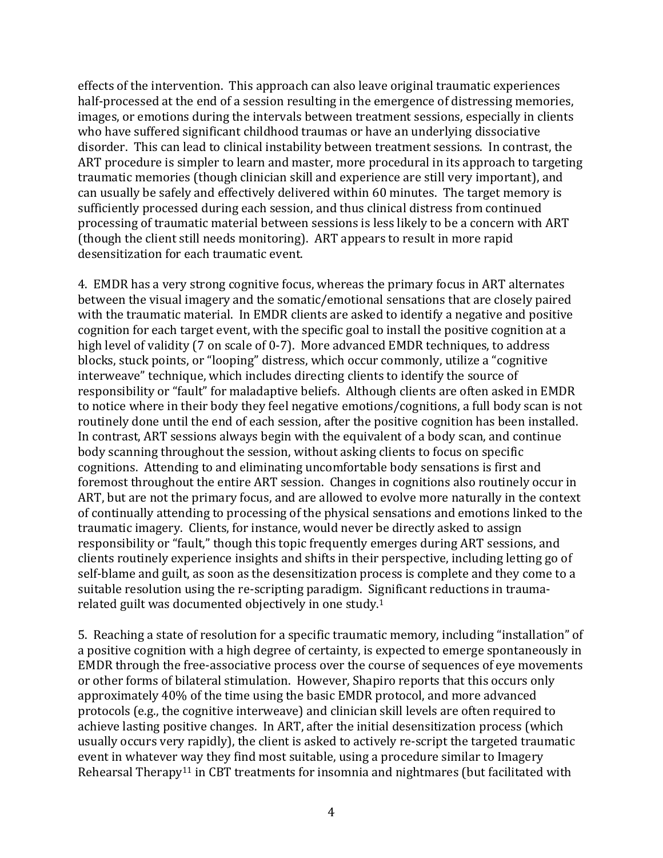effects of the intervention. This approach can also leave original traumatic experiences half-processed at the end of a session resulting in the emergence of distressing memories, images, or emotions during the intervals between treatment sessions, especially in clients who have suffered significant childhood traumas or have an underlying dissociative disorder. This can lead to clinical instability between treatment sessions. In contrast, the ART procedure is simpler to learn and master, more procedural in its approach to targeting traumatic memories (though clinician skill and experience are still very important), and can usually be safely and effectively delivered within 60 minutes. The target memory is sufficiently processed during each session, and thus clinical distress from continued processing of traumatic material between sessions is less likely to be a concern with ART (though the client still needs monitoring). ART appears to result in more rapid desensitization for each traumatic event.

4. EMDR has a very strong cognitive focus, whereas the primary focus in ART alternates between the visual imagery and the somatic/emotional sensations that are closely paired with the traumatic material. In EMDR clients are asked to identify a negative and positive cognition for each target event, with the specific goal to install the positive cognition at a high level of validity (7 on scale of 0-7). More advanced EMDR techniques, to address blocks, stuck points, or "looping" distress, which occur commonly, utilize a "cognitive interweave" technique, which includes directing clients to identify the source of responsibility or "fault" for maladaptive beliefs. Although clients are often asked in EMDR to notice where in their body they feel negative emotions/cognitions, a full body scan is not routinely done until the end of each session, after the positive cognition has been installed. In contrast, ART sessions always begin with the equivalent of a body scan, and continue body scanning throughout the session, without asking clients to focus on specific cognitions. Attending to and eliminating uncomfortable body sensations is first and foremost throughout the entire ART session. Changes in cognitions also routinely occur in ART, but are not the primary focus, and are allowed to evolve more naturally in the context of continually attending to processing of the physical sensations and emotions linked to the traumatic imagery. Clients, for instance, would never be directly asked to assign responsibility or "fault," though this topic frequently emerges during ART sessions, and clients routinely experience insights and shifts in their perspective, including letting go of self-blame and guilt, as soon as the desensitization process is complete and they come to a suitable resolution using the re-scripting paradigm. Significant reductions in traumarelated guilt was documented objectively in one study.<sup>1</sup>

5. Reaching a state of resolution for a specific traumatic memory, including "installation" of a positive cognition with a high degree of certainty, is expected to emerge spontaneously in EMDR through the free-associative process over the course of sequences of eye movements or other forms of bilateral stimulation. However, Shapiro reports that this occurs only approximately 40% of the time using the basic EMDR protocol, and more advanced protocols (e.g., the cognitive interweave) and clinician skill levels are often required to achieve lasting positive changes. In ART, after the initial desensitization process (which usually occurs very rapidly), the client is asked to actively re-script the targeted traumatic event in whatever way they find most suitable, using a procedure similar to Imagery Rehearsal Therapy<sup>11</sup> in CBT treatments for insomnia and nightmares (but facilitated with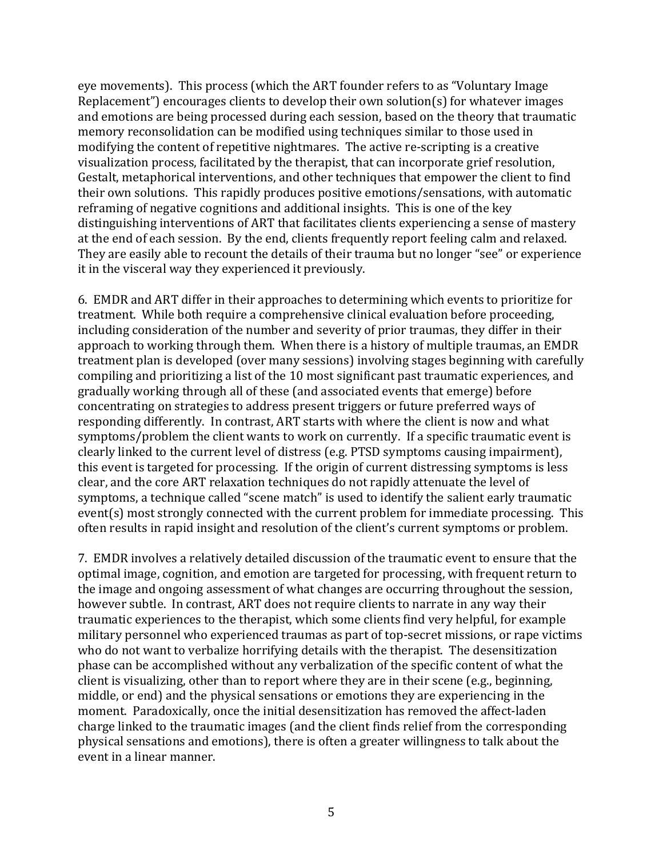eye movements). This process (which the ART founder refers to as "Voluntary Image Replacement") encourages clients to develop their own solution(s) for whatever images and emotions are being processed during each session, based on the theory that traumatic memory reconsolidation can be modified using techniques similar to those used in modifying the content of repetitive nightmares. The active re-scripting is a creative visualization process, facilitated by the therapist, that can incorporate grief resolution, Gestalt, metaphorical interventions, and other techniques that empower the client to find their own solutions. This rapidly produces positive emotions/sensations, with automatic reframing of negative cognitions and additional insights. This is one of the key distinguishing interventions of ART that facilitates clients experiencing a sense of mastery at the end of each session. By the end, clients frequently report feeling calm and relaxed. They are easily able to recount the details of their trauma but no longer "see" or experience it in the visceral way they experienced it previously.

6. EMDR and ART differ in their approaches to determining which events to prioritize for treatment. While both require a comprehensive clinical evaluation before proceeding, including consideration of the number and severity of prior traumas, they differ in their approach to working through them. When there is a history of multiple traumas, an EMDR treatment plan is developed (over many sessions) involving stages beginning with carefully compiling and prioritizing a list of the 10 most significant past traumatic experiences, and gradually working through all of these (and associated events that emerge) before concentrating on strategies to address present triggers or future preferred ways of responding differently. In contrast, ART starts with where the client is now and what symptoms/problem the client wants to work on currently. If a specific traumatic event is clearly linked to the current level of distress (e.g. PTSD symptoms causing impairment), this event is targeted for processing. If the origin of current distressing symptoms is less clear, and the core ART relaxation techniques do not rapidly attenuate the level of symptoms, a technique called "scene match" is used to identify the salient early traumatic event(s) most strongly connected with the current problem for immediate processing. This often results in rapid insight and resolution of the client's current symptoms or problem.

7. EMDR involves a relatively detailed discussion of the traumatic event to ensure that the optimal image, cognition, and emotion are targeted for processing, with frequent return to the image and ongoing assessment of what changes are occurring throughout the session, however subtle. In contrast, ART does not require clients to narrate in any way their traumatic experiences to the therapist, which some clients find very helpful, for example military personnel who experienced traumas as part of top-secret missions, or rape victims who do not want to verbalize horrifying details with the therapist. The desensitization phase can be accomplished without any verbalization of the specific content of what the client is visualizing, other than to report where they are in their scene (e.g., beginning, middle, or end) and the physical sensations or emotions they are experiencing in the moment. Paradoxically, once the initial desensitization has removed the affect-laden charge linked to the traumatic images (and the client finds relief from the corresponding physical sensations and emotions), there is often a greater willingness to talk about the event in a linear manner.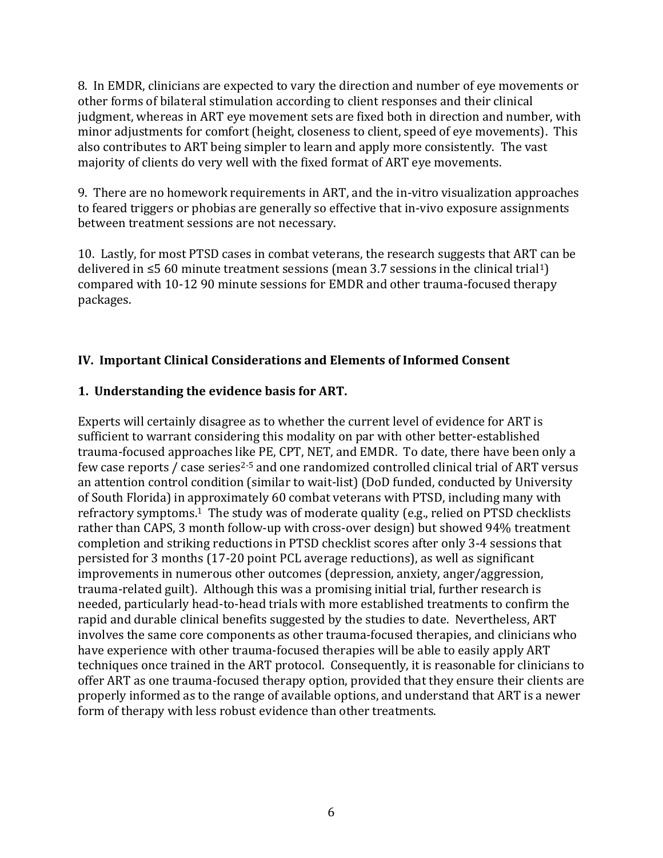8. In EMDR, clinicians are expected to vary the direction and number of eye movements or other forms of bilateral stimulation according to client responses and their clinical judgment, whereas in ART eye movement sets are fixed both in direction and number, with minor adjustments for comfort (height, closeness to client, speed of eye movements). This also contributes to ART being simpler to learn and apply more consistently. The vast majority of clients do very well with the fixed format of ART eye movements.

9. There are no homework requirements in ART, and the in-vitro visualization approaches to feared triggers or phobias are generally so effective that in-vivo exposure assignments between treatment sessions are not necessary.

10. Lastly, for most PTSD cases in combat veterans, the research suggests that ART can be delivered in  $\leq$ 5 60 minute treatment sessions (mean 3.7 sessions in the clinical trial<sup>1</sup>) compared with 10-12 90 minute sessions for EMDR and other trauma-focused therapy packages.

# **IV. Important Clinical Considerations and Elements of Informed Consent**

# **1. Understanding the evidence basis for ART.**

Experts will certainly disagree as to whether the current level of evidence for ART is sufficient to warrant considering this modality on par with other better-established trauma-focused approaches like PE, CPT, NET, and EMDR. To date, there have been only a few case reports / case series<sup>2-5</sup> and one randomized controlled clinical trial of ART versus an attention control condition (similar to wait-list) (DoD funded, conducted by University of South Florida) in approximately 60 combat veterans with PTSD, including many with refractory symptoms. <sup>1</sup> The study was of moderate quality (e.g., relied on PTSD checklists rather than CAPS, 3 month follow-up with cross-over design) but showed 94% treatment completion and striking reductions in PTSD checklist scores after only 3-4 sessions that persisted for 3 months (17-20 point PCL average reductions), as well as significant improvements in numerous other outcomes (depression, anxiety, anger/aggression, trauma-related guilt). Although this was a promising initial trial, further research is needed, particularly head-to-head trials with more established treatments to confirm the rapid and durable clinical benefits suggested by the studies to date. Nevertheless, ART involves the same core components as other trauma-focused therapies, and clinicians who have experience with other trauma-focused therapies will be able to easily apply ART techniques once trained in the ART protocol. Consequently, it is reasonable for clinicians to offer ART as one trauma-focused therapy option, provided that they ensure their clients are properly informed as to the range of available options, and understand that ART is a newer form of therapy with less robust evidence than other treatments.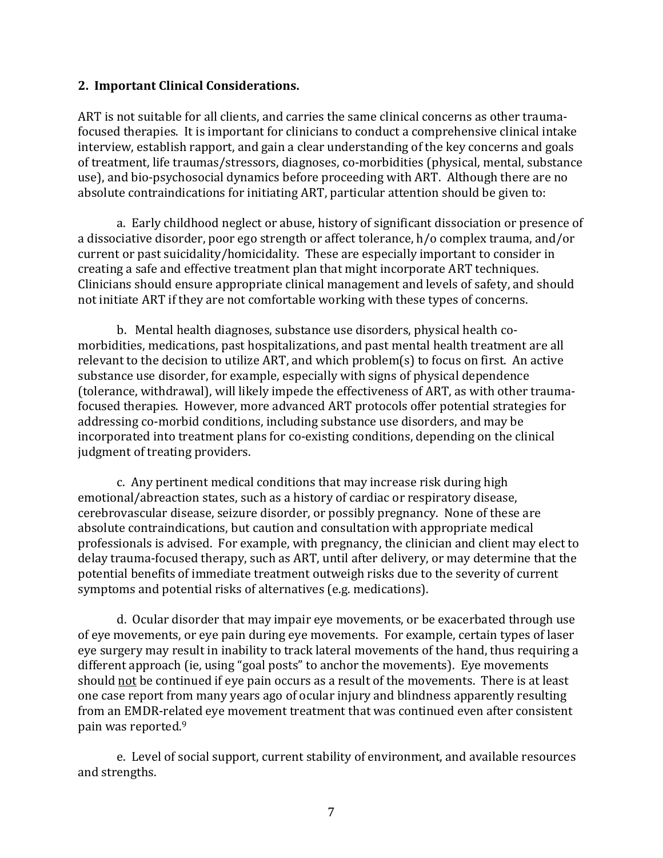### **2. Important Clinical Considerations.**

ART is not suitable for all clients, and carries the same clinical concerns as other traumafocused therapies. It is important for clinicians to conduct a comprehensive clinical intake interview, establish rapport, and gain a clear understanding of the key concerns and goals of treatment, life traumas/stressors, diagnoses, co-morbidities (physical, mental, substance use), and bio-psychosocial dynamics before proceeding with ART. Although there are no absolute contraindications for initiating ART, particular attention should be given to:

a. Early childhood neglect or abuse, history of significant dissociation or presence of a dissociative disorder, poor ego strength or affect tolerance, h/o complex trauma, and/or current or past suicidality/homicidality. These are especially important to consider in creating a safe and effective treatment plan that might incorporate ART techniques. Clinicians should ensure appropriate clinical management and levels of safety, and should not initiate ART if they are not comfortable working with these types of concerns.

b. Mental health diagnoses, substance use disorders, physical health comorbidities, medications, past hospitalizations, and past mental health treatment are all relevant to the decision to utilize ART, and which problem(s) to focus on first. An active substance use disorder, for example, especially with signs of physical dependence (tolerance, withdrawal), will likely impede the effectiveness of ART, as with other traumafocused therapies. However, more advanced ART protocols offer potential strategies for addressing co-morbid conditions, including substance use disorders, and may be incorporated into treatment plans for co-existing conditions, depending on the clinical judgment of treating providers.

c. Any pertinent medical conditions that may increase risk during high emotional/abreaction states, such as a history of cardiac or respiratory disease, cerebrovascular disease, seizure disorder, or possibly pregnancy. None of these are absolute contraindications, but caution and consultation with appropriate medical professionals is advised. For example, with pregnancy, the clinician and client may elect to delay trauma-focused therapy, such as ART, until after delivery, or may determine that the potential benefits of immediate treatment outweigh risks due to the severity of current symptoms and potential risks of alternatives (e.g. medications).

d. Ocular disorder that may impair eye movements, or be exacerbated through use of eye movements, or eye pain during eye movements. For example, certain types of laser eye surgery may result in inability to track lateral movements of the hand, thus requiring a different approach (ie, using "goal posts" to anchor the movements). Eye movements should not be continued if eye pain occurs as a result of the movements. There is at least one case report from many years ago of ocular injury and blindness apparently resulting from an EMDR-related eye movement treatment that was continued even after consistent pain was reported. 9

e. Level of social support, current stability of environment, and available resources and strengths.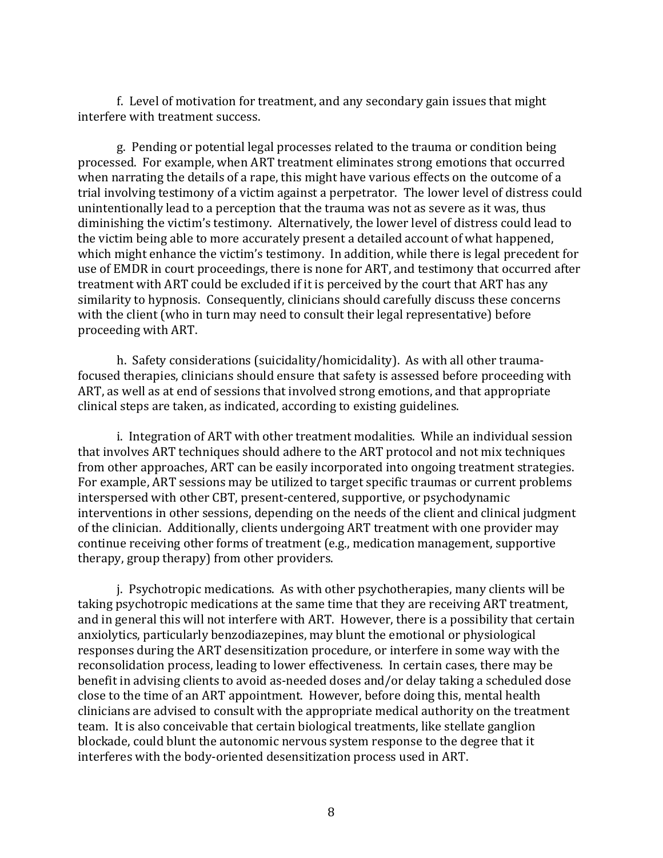f. Level of motivation for treatment, and any secondary gain issues that might interfere with treatment success.

g. Pending or potential legal processes related to the trauma or condition being processed. For example, when ART treatment eliminates strong emotions that occurred when narrating the details of a rape, this might have various effects on the outcome of a trial involving testimony of a victim against a perpetrator. The lower level of distress could unintentionally lead to a perception that the trauma was not as severe as it was, thus diminishing the victim's testimony. Alternatively, the lower level of distress could lead to the victim being able to more accurately present a detailed account of what happened, which might enhance the victim's testimony. In addition, while there is legal precedent for use of EMDR in court proceedings, there is none for ART, and testimony that occurred after treatment with ART could be excluded if it is perceived by the court that ART has any similarity to hypnosis. Consequently, clinicians should carefully discuss these concerns with the client (who in turn may need to consult their legal representative) before proceeding with ART.

h. Safety considerations (suicidality/homicidality). As with all other traumafocused therapies, clinicians should ensure that safety is assessed before proceeding with ART, as well as at end of sessions that involved strong emotions, and that appropriate clinical steps are taken, as indicated, according to existing guidelines.

i. Integration of ART with other treatment modalities. While an individual session that involves ART techniques should adhere to the ART protocol and not mix techniques from other approaches, ART can be easily incorporated into ongoing treatment strategies. For example, ART sessions may be utilized to target specific traumas or current problems interspersed with other CBT, present-centered, supportive, or psychodynamic interventions in other sessions, depending on the needs of the client and clinical judgment of the clinician. Additionally, clients undergoing ART treatment with one provider may continue receiving other forms of treatment (e.g., medication management, supportive therapy, group therapy) from other providers.

j. Psychotropic medications. As with other psychotherapies, many clients will be taking psychotropic medications at the same time that they are receiving ART treatment, and in general this will not interfere with ART. However, there is a possibility that certain anxiolytics, particularly benzodiazepines, may blunt the emotional or physiological responses during the ART desensitization procedure, or interfere in some way with the reconsolidation process, leading to lower effectiveness. In certain cases, there may be benefit in advising clients to avoid as-needed doses and/or delay taking a scheduled dose close to the time of an ART appointment. However, before doing this, mental health clinicians are advised to consult with the appropriate medical authority on the treatment team. It is also conceivable that certain biological treatments, like stellate ganglion blockade, could blunt the autonomic nervous system response to the degree that it interferes with the body-oriented desensitization process used in ART.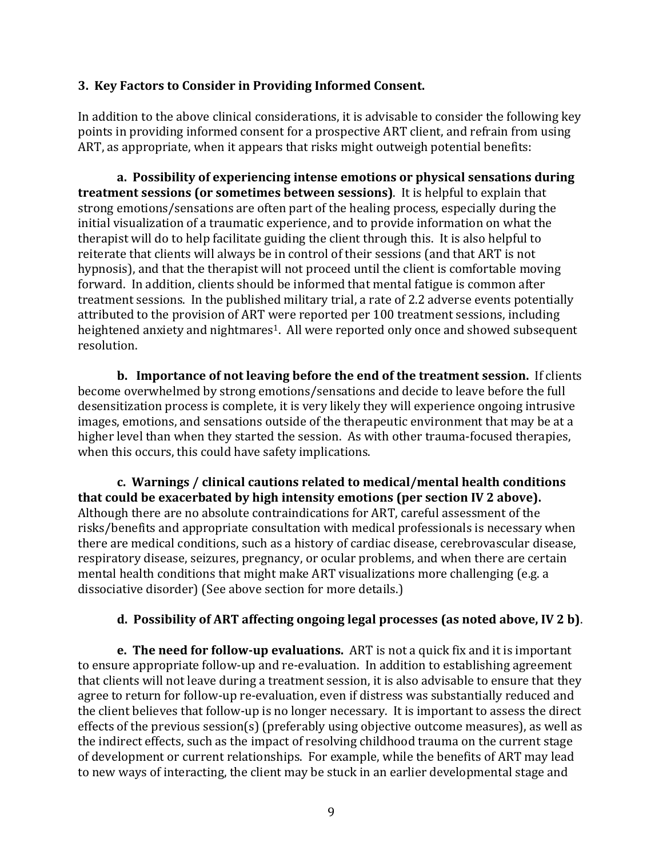## **3. Key Factors to Consider in Providing Informed Consent.**

In addition to the above clinical considerations, it is advisable to consider the following key points in providing informed consent for a prospective ART client, and refrain from using ART, as appropriate, when it appears that risks might outweigh potential benefits:

**a. Possibility of experiencing intense emotions or physical sensations during treatment sessions (or sometimes between sessions)**. It is helpful to explain that strong emotions/sensations are often part of the healing process, especially during the initial visualization of a traumatic experience, and to provide information on what the therapist will do to help facilitate guiding the client through this. It is also helpful to reiterate that clients will always be in control of their sessions (and that ART is not hypnosis), and that the therapist will not proceed until the client is comfortable moving forward. In addition, clients should be informed that mental fatigue is common after treatment sessions. In the published military trial, a rate of 2.2 adverse events potentially attributed to the provision of ART were reported per 100 treatment sessions, including heightened anxiety and nightmares<sup>1</sup>. All were reported only once and showed subsequent resolution.

**b. Importance of not leaving before the end of the treatment session.** If clients become overwhelmed by strong emotions/sensations and decide to leave before the full desensitization process is complete, it is very likely they will experience ongoing intrusive images, emotions, and sensations outside of the therapeutic environment that may be at a higher level than when they started the session. As with other trauma-focused therapies, when this occurs, this could have safety implications.

**c. Warnings / clinical cautions related to medical/mental health conditions that could be exacerbated by high intensity emotions (per section IV 2 above).** Although there are no absolute contraindications for ART, careful assessment of the risks/benefits and appropriate consultation with medical professionals is necessary when there are medical conditions, such as a history of cardiac disease, cerebrovascular disease, respiratory disease, seizures, pregnancy, or ocular problems, and when there are certain mental health conditions that might make ART visualizations more challenging (e.g. a dissociative disorder) (See above section for more details.)

# **d. Possibility of ART affecting ongoing legal processes (as noted above, IV 2 b)**.

**e. The need for follow-up evaluations.** ART is not a quick fix and it is important to ensure appropriate follow-up and re-evaluation. In addition to establishing agreement that clients will not leave during a treatment session, it is also advisable to ensure that they agree to return for follow-up re-evaluation, even if distress was substantially reduced and the client believes that follow-up is no longer necessary. It is important to assess the direct effects of the previous session(s) (preferably using objective outcome measures), as well as the indirect effects, such as the impact of resolving childhood trauma on the current stage of development or current relationships. For example, while the benefits of ART may lead to new ways of interacting, the client may be stuck in an earlier developmental stage and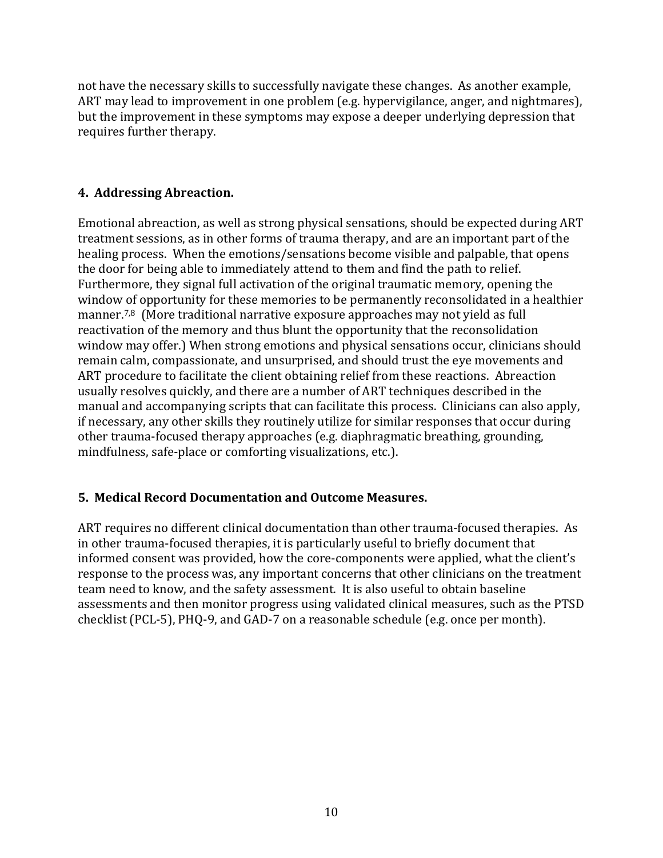not have the necessary skills to successfully navigate these changes. As another example, ART may lead to improvement in one problem (e.g. hypervigilance, anger, and nightmares), but the improvement in these symptoms may expose a deeper underlying depression that requires further therapy.

## **4. Addressing Abreaction.**

Emotional abreaction, as well as strong physical sensations, should be expected during ART treatment sessions, as in other forms of trauma therapy, and are an important part of the healing process. When the emotions/sensations become visible and palpable, that opens the door for being able to immediately attend to them and find the path to relief. Furthermore, they signal full activation of the original traumatic memory, opening the window of opportunity for these memories to be permanently reconsolidated in a healthier manner.7,8 (More traditional narrative exposure approaches may not yield as full reactivation of the memory and thus blunt the opportunity that the reconsolidation window may offer.) When strong emotions and physical sensations occur, clinicians should remain calm, compassionate, and unsurprised, and should trust the eye movements and ART procedure to facilitate the client obtaining relief from these reactions. Abreaction usually resolves quickly, and there are a number of ART techniques described in the manual and accompanying scripts that can facilitate this process. Clinicians can also apply, if necessary, any other skills they routinely utilize for similar responses that occur during other trauma-focused therapy approaches (e.g. diaphragmatic breathing, grounding, mindfulness, safe-place or comforting visualizations, etc.).

# **5. Medical Record Documentation and Outcome Measures.**

ART requires no different clinical documentation than other trauma-focused therapies. As in other trauma-focused therapies, it is particularly useful to briefly document that informed consent was provided, how the core-components were applied, what the client's response to the process was, any important concerns that other clinicians on the treatment team need to know, and the safety assessment. It is also useful to obtain baseline assessments and then monitor progress using validated clinical measures, such as the PTSD checklist (PCL-5), PHQ-9, and GAD-7 on a reasonable schedule (e.g. once per month).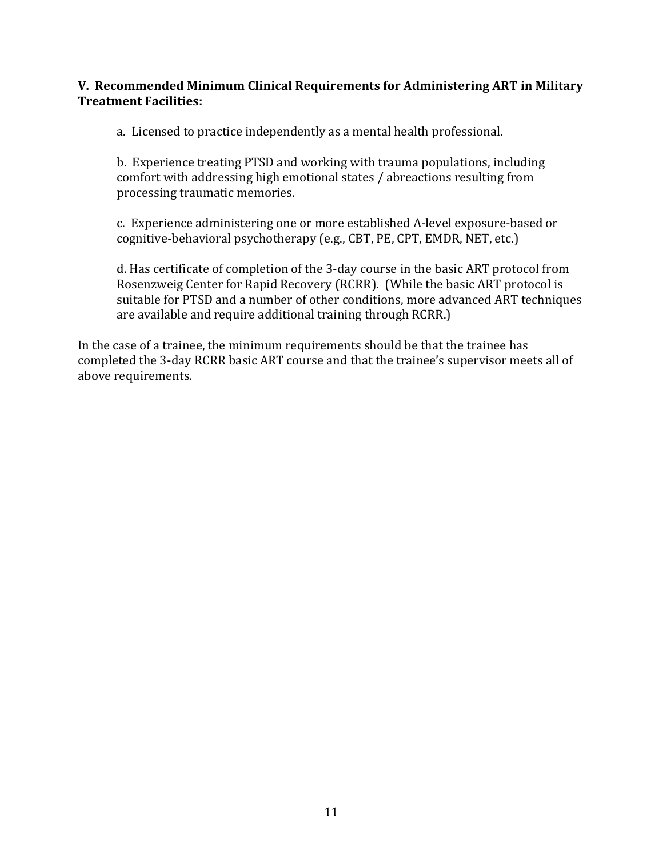## **V. Recommended Minimum Clinical Requirements for Administering ART in Military Treatment Facilities:**

a. Licensed to practice independently as a mental health professional.

b. Experience treating PTSD and working with trauma populations, including comfort with addressing high emotional states / abreactions resulting from processing traumatic memories.

c. Experience administering one or more established A-level exposure-based or cognitive-behavioral psychotherapy (e.g., CBT, PE, CPT, EMDR, NET, etc.)

d. Has certificate of completion of the 3-day course in the basic ART protocol from Rosenzweig Center for Rapid Recovery (RCRR). (While the basic ART protocol is suitable for PTSD and a number of other conditions, more advanced ART techniques are available and require additional training through RCRR.)

In the case of a trainee, the minimum requirements should be that the trainee has completed the 3-day RCRR basic ART course and that the trainee's supervisor meets all of above requirements.